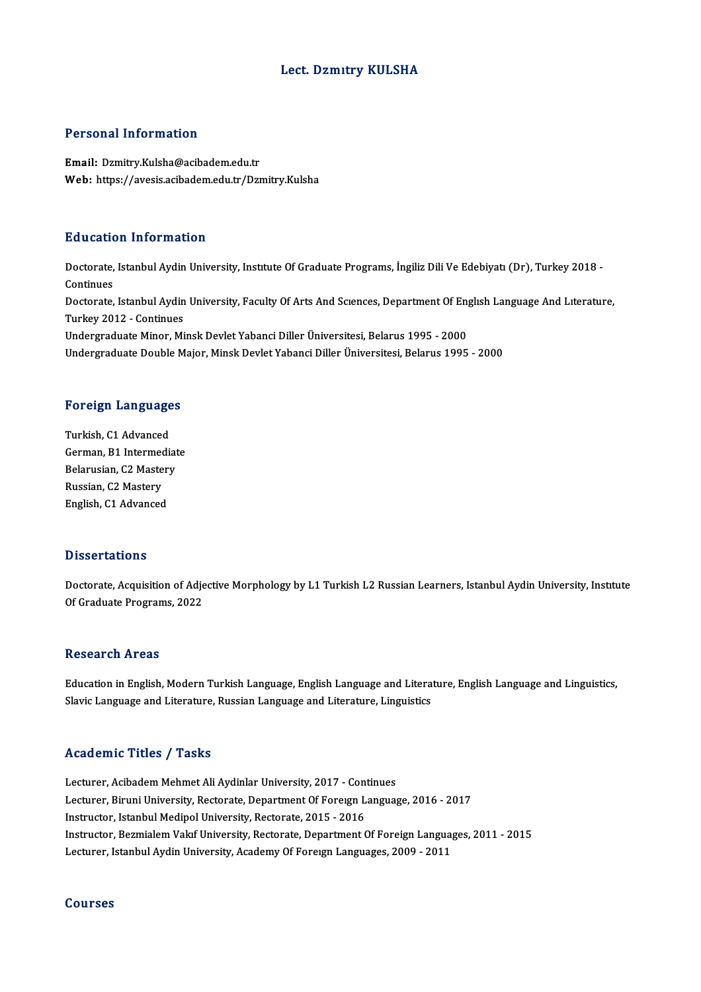# Lect. Dzmıtry KULSHA

# Personal Information

Email: Dzmitry.Kulsha@acibadem.edu.tr Web: https://avesis.acibadem.edu.tr/Dzmitry.Kulsha

# Education Information

**Education Information**<br>Doctorate, Istanbul Aydin University, Institute Of Graduate Programs, İngiliz Dili Ve Edebiyatı (Dr), Turkey 2018 -<br>Continues Doctorate,<br>Continues<br>Doctorate Doctorate, Istanbul Aydin University, Institute Of Graduate Programs, İngiliz Dili Ve Edebiyatı (Dr), Turkey 2018 -<br>Continues<br>Doctorate, Istanbul Aydin University, Faculty Of Arts And Scıences, Department Of Englısh Langua Continues<br>Doctorate, Istanbul Aydin<br>Turkey 2012 - Continues<br>Undergreduete Miner, Mi Doctorate, Istanbul Aydin University, Faculty Of Arts And Sciences, Department Of Eng<br>Turkey 2012 - Continues<br>Undergraduate Minor, Minsk Devlet Yabanci Diller Üniversitesi, Belarus 1995 - 2000<br>Undergraduate Double Major, M Turkey 2012 - Continues<br>Undergraduate Minor, Minsk Devlet Yabanci Diller Üniversitesi, Belarus 1995 - 2000<br>Undergraduate Double Major, Minsk Devlet Yabanci Diller Üniversitesi, Belarus 1995 - 2000

# ondergraduate Double M<br>Foreign Languages

**Foreign Language<br>Turkish, C1 Advanced<br>Corman B1 Intermedie** German, B1 Intermediate<br>Belarusian, C2 Mastery Turkish, C1 Advanced Russian, C2 Mastery English, C1 Advanced

## **Dissertations**

Dissertations<br>Doctorate, Acquisition of Adjective Morphology by L1 Turkish L2 Russian Learners, Istanbul Aydin University, Institute<br>Of Craduate Programs, 2022 of Graduations<br>Doctorate, Acquisition of Adje<br>Of Graduate Programs, 2022 Of Graduate Programs, 2022<br>Research Areas

EducationinEnglish,ModernTurkish Language,English Language and Literature,English Language and Linguistics, Slavic Language and Literature, Russian Language and Literature, Linguistics

# Academic Titles / Tasks

Lecturer, Acibadem Mehmet Ali Aydinlar University, 2017 - Continues Lecturer, Biruni University, Rectorate, Department Of Foreign Language, 2016 - 2017 Instructor, Istanbul Medipol University, Rectorate, 2015 - 2016 Lecturer, Biruni University, Rectorate, Department Of Foreign Language, 2016 - 2017<br>Instructor, Istanbul Medipol University, Rectorate, 2015 - 2016<br>Instructor, Bezmialem Vakıf University, Rectorate, Department Of Foreign L Instructor, Istanbul Medipol University, Rectorate, 2015 - 2016<br>Instructor, Bezmialem Vakıf University, Rectorate, Department Of Foreign Langua<sub>l</sub><br>Lecturer, Istanbul Aydin University, Academy Of Foreıgn Languages, 2009 - 2 Lecturer, Istanbul Aydin University, Academy Of Foreign Languages, 2009 - 2011<br>Courses